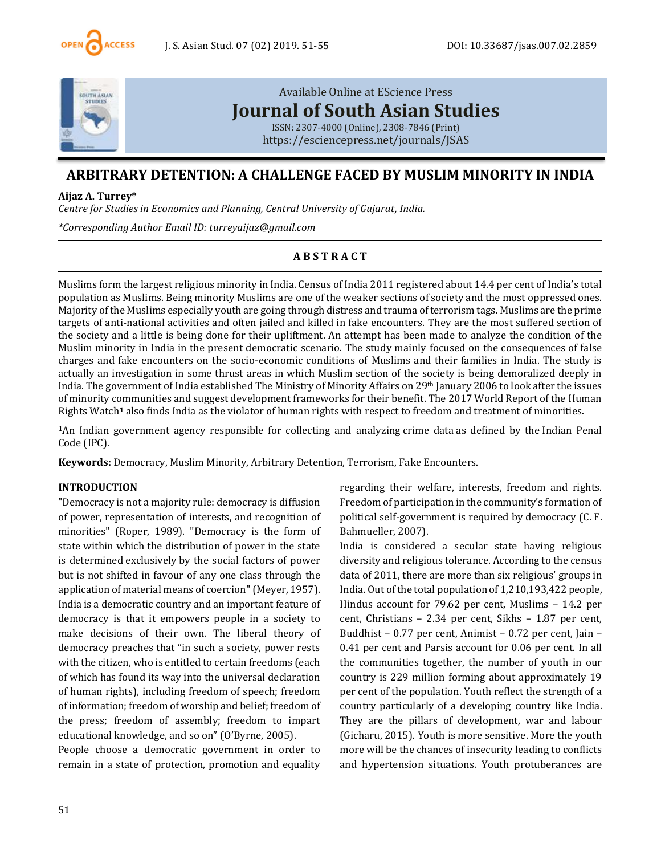



# [Available Online at EScience Press](https://esciencepress.net/journals/JSAS) **[Journal of South Asian Studies](https://esciencepress.net/journals/JSAS)**

[ISSN: 2307-4000 \(Online\), 2308-7846 \(Print\)](https://esciencepress.net/journals/JSAS) <https://esciencepress.net/journals/JSAS>

# **ARBITRARY DETENTION: A CHALLENGE FACED BY MUSLIM MINORITY IN INDIA**

### **Aijaz A. Turrey\***

*Centre for Studies in Economics and Planning, Central University of Gujarat, India.*

*\*Corresponding Author Email ID: turreyaijaz@gmail.com*

## **A B S T R A C T**

Muslims form the largest religious minority in India. Census of India 2011 registered about 14.4 per cent of India's total population as Muslims. Being minority Muslims are one of the weaker sections of society and the most oppressed ones. Majority of the Muslims especially youth are going through distress and trauma of terrorism tags. Muslims are the prime targets of anti-national activities and often jailed and killed in fake encounters. They are the most suffered section of the society and a little is being done for their upliftment. An attempt has been made to analyze the condition of the Muslim minority in India in the present democratic scenario. The study mainly focused on the consequences of false charges and fake encounters on the socio-economic conditions of Muslims and their families in India. The study is actually an investigation in some thrust areas in which Muslim section of the society is being demoralized deeply in India. The government of India established The Ministry of Minority Affairs on 29th January 2006 to look after the issues of minority communities and suggest development frameworks for their benefit. The 2017 World Report of the Human Rights Watch**<sup>1</sup>** also finds India as the violator of human rights with respect to freedom and treatment of minorities.

**<sup>1</sup>**An Indian government agency responsible for collecting and analyzing crime data as defined by the Indian Penal Code (IPC).

**Keywords:** Democracy, Muslim Minority, Arbitrary Detention, Terrorism, Fake Encounters.

### **INTRODUCTION**

"Democracy is not a majority rule: democracy is diffusion of power, representation of interests, and recognition of minorities" (Roper, 1989). "Democracy is the form of state within which the distribution of power in the state is determined exclusively by the social factors of power but is not shifted in favour of any one class through the application of material means of coercion" (Meyer, 1957). India is a democratic country and an important feature of democracy is that it empowers people in a society to make decisions of their own. The liberal theory of democracy preaches that "in such a society, power rests with the citizen, who is entitled to certain freedoms (each of which has found its way into the universal declaration of human rights), including freedom of speech; freedom of information; freedom of worship and belief; freedom of the press; freedom of assembly; freedom to impart educational knowledge, and so on" (O'Byrne, 2005).

People choose a democratic government in order to remain in a state of protection, promotion and equality

regarding their welfare, interests, freedom and rights. Freedom of participation in the community's formation of political self-government is required by democracy (C. F. Bahmueller, 2007).

India is considered a secular state having religious diversity and religious tolerance. According to the census data of 2011, there are more than six religious' groups in India. Out of the total population of 1,210,193,422 people, Hindus account for 79.62 per cent, Muslims – 14.2 per cent, Christians – 2.34 per cent, Sikhs – 1.87 per cent, Buddhist – 0.77 per cent, Animist – 0.72 per cent, Jain – 0.41 per cent and Parsis account for 0.06 per cent. In all the communities together, the number of youth in our country is 229 million forming about approximately 19 per cent of the population. Youth reflect the strength of a country particularly of a developing country like India. They are the pillars of development, war and labour (Gicharu, 2015). Youth is more sensitive. More the youth more will be the chances of insecurity leading to conflicts and hypertension situations. Youth protuberances are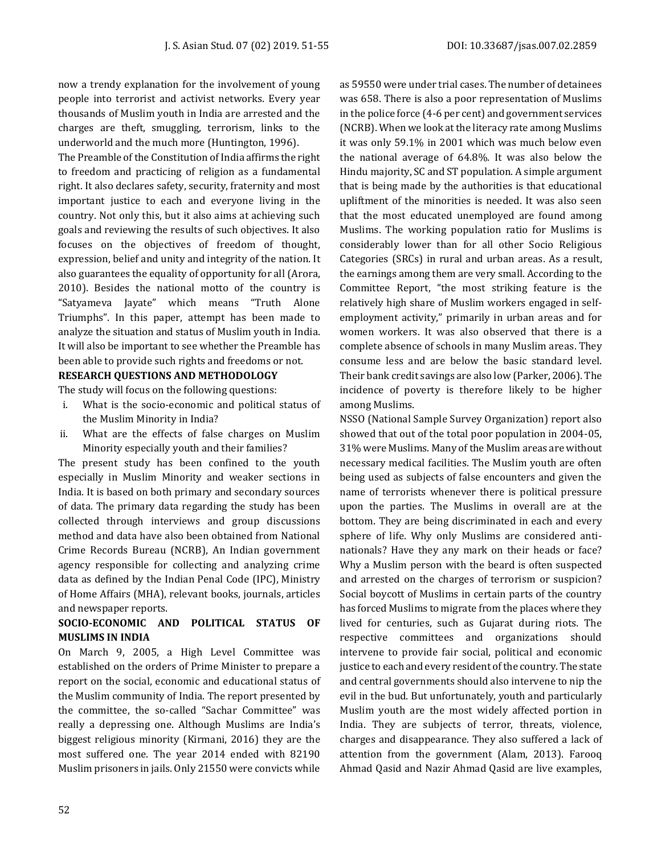now a trendy explanation for the involvement of young people into terrorist and activist networks. Every year thousands of Muslim youth in India are arrested and the charges are theft, smuggling, terrorism, links to the underworld and the much more (Huntington, 1996).

The Preamble of the Constitution of India affirms the right to freedom and practicing of religion as a fundamental right. It also declares safety, security, fraternity and most important justice to each and everyone living in the country. Not only this, but it also aims at achieving such goals and reviewing the results of such objectives. It also focuses on the objectives of freedom of thought, expression, belief and unity and integrity of the nation. It also guarantees the equality of opportunity for all (Arora, 2010). Besides the national motto of the country is "Satyameva Jayate" which means "Truth Alone Triumphs". In this paper, attempt has been made to analyze the situation and status of Muslim youth in India. It will also be important to see whether the Preamble has been able to provide such rights and freedoms or not.

# **RESEARCH QUESTIONS AND METHODOLOGY**

The study will focus on the following questions:

- i. What is the socio-economic and political status of the Muslim Minority in India?
- ii. What are the effects of false charges on Muslim Minority especially youth and their families?

The present study has been confined to the youth especially in Muslim Minority and weaker sections in India. It is based on both primary and secondary sources of data. The primary data regarding the study has been collected through interviews and group discussions method and data have also been obtained from National Crime Records Bureau (NCRB), An Indian government agency responsible for collecting and analyzing crime data as defined by the Indian Penal Code (IPC), Ministry of Home Affairs (MHA), relevant books, journals, articles and newspaper reports.

## **SOCIO-ECONOMIC AND POLITICAL STATUS OF MUSLIMS IN INDIA**

On March 9, 2005, a High Level Committee was established on the orders of Prime Minister to prepare a report on the social, economic and educational status of the Muslim community of India. The report presented by the committee, the so-called "Sachar Committee" was really a depressing one. Although Muslims are India's biggest religious minority (Kirmani, 2016) they are the most suffered one. The year 2014 ended with 82190 Muslim prisoners in jails. Only 21550 were convicts while

as 59550 were under trial cases. The number of detainees was 658. There is also a poor representation of Muslims in the police force (4-6 per cent) and government services (NCRB). When we look at the literacy rate among Muslims it was only 59.1% in 2001 which was much below even the national average of 64.8%. It was also below the Hindu majority, SC and ST population. A simple argument that is being made by the authorities is that educational upliftment of the minorities is needed. It was also seen that the most educated unemployed are found among Muslims. The working population ratio for Muslims is considerably lower than for all other Socio Religious Categories (SRCs) in rural and urban areas. As a result, the earnings among them are very small. According to the Committee Report, "the most striking feature is the relatively high share of Muslim workers engaged in selfemployment activity," primarily in urban areas and for women workers. It was also observed that there is a complete absence of schools in many Muslim areas. They consume less and are below the basic standard level. Their bank credit savings are also low (Parker, 2006). The incidence of poverty is therefore likely to be higher among Muslims.

NSSO (National Sample Survey Organization) report also showed that out of the total poor population in 2004-05, 31% were Muslims. Many of the Muslim areas are without necessary medical facilities. The Muslim youth are often being used as subjects of false encounters and given the name of terrorists whenever there is political pressure upon the parties. The Muslims in overall are at the bottom. They are being discriminated in each and every sphere of life. Why only Muslims are considered antinationals? Have they any mark on their heads or face? Why a Muslim person with the beard is often suspected and arrested on the charges of terrorism or suspicion? Social boycott of Muslims in certain parts of the country has forced Muslims to migrate from the places where they lived for centuries, such as Gujarat during riots. The respective committees and organizations should intervene to provide fair social, political and economic justice to each and every resident of the country. The state and central governments should also intervene to nip the evil in the bud. But unfortunately, youth and particularly Muslim youth are the most widely affected portion in India. They are subjects of terror, threats, violence, charges and disappearance. They also suffered a lack of attention from the government (Alam, 2013). Farooq Ahmad Qasid and Nazir Ahmad Qasid are live examples,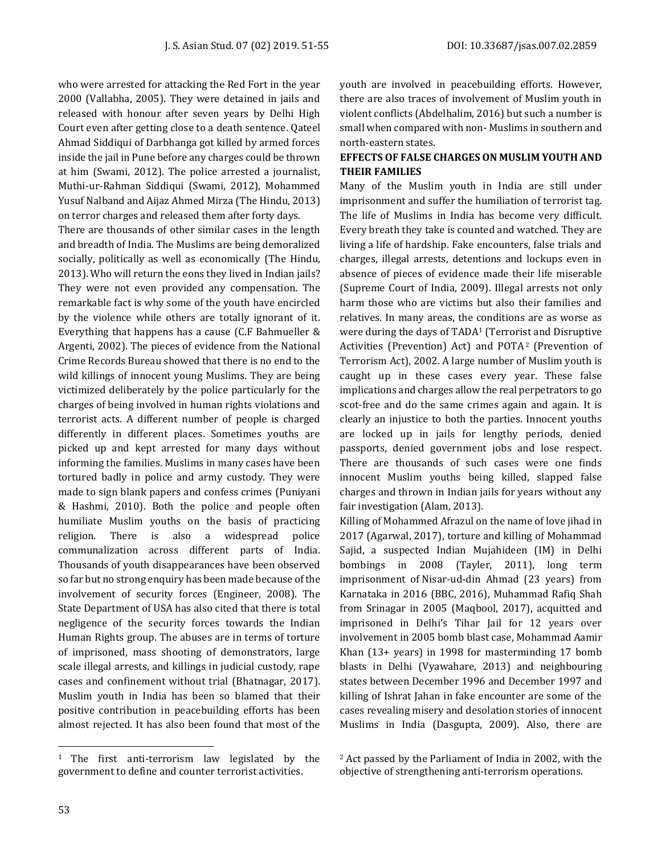who were arrested for attacking the Red Fort in the year 2000 (Vallabha, 2005). They were detained in jails and released with honour after seven years by Delhi High Court even after getting close to a death sentence. Qateel Ahmad Siddiqui of Darbhanga got killed by armed forces inside the jail in Pune before any charges could be thrown at him (Swami, 2012). The police arrested a journalist, Muthi-ur-Rahman Siddiqui (Swami, 2012), Mohammed Yusuf Nalband and Aijaz Ahmed Mirza (The Hindu, 2013) on terror charges and released them after forty days.

There are thousands of other similar cases in the length and breadth of India. The Muslims are being demoralized socially, politically as well as economically (The Hindu, 2013). Who will return the eons they lived in Indian jails? They were not even provided any compensation. The remarkable fact is why some of the youth have encircled by the violence while others are totally ignorant of it. Everything that happens has a cause (C.F Bahmueller & Argenti, 2002). The pieces of evidence from the National Crime Records Bureau showed that there is no end to the wild killings of innocent young Muslims. They are being victimized deliberately by the police particularly for the charges of being involved in human rights violations and terrorist acts. A different number of people is charged differently in different places. Sometimes youths are picked up and kept arrested for many days without informing the families. Muslims in many cases have been tortured badly in police and army custody. They were made to sign blank papers and confess crimes (Puniyani & Hashmi, 2010). Both the police and people often humiliate Muslim youths on the basis of practicing religion. There is also a widespread police communalization across different parts of India. Thousands of youth disappearances have been observed so far but no strong enquiry has been made because of the involvement of security forces (Engineer, 2008). The State Department of USA has also cited that there is total negligence of the security forces towards the Indian Human Rights group. The abuses are in terms of torture of imprisoned, mass shooting of demonstrators, large scale illegal arrests, and killings in judicial custody, rape cases and confinement without trial (Bhatnagar, 2017). Muslim youth in India has been so blamed that their positive contribution in peacebuilding efforts has been almost rejected. It has also been found that most of the youth are involved in peacebuilding efforts. However, there are also traces of involvement of Muslim youth in violent conflicts (Abdelhalim, 2016) but such a number is small when compared with non- Muslims in southern and north-eastern states.

### **EFFECTS OF FALSE CHARGES ON MUSLIM YOUTH AND THEIR FAMILIES**

Many of the Muslim youth in India are still under imprisonment and suffer the humiliation of terrorist tag. The life of Muslims in India has become very difficult. Every breath they take is counted and watched. They are living a life of hardship. Fake encounters, false trials and charges, illegal arrests, detentions and lockups even in absence of pieces of evidence made their life miserable (Supreme Court of India, 2009). Illegal arrests not only harm those who are victims but also their families and relatives. In many areas, the conditions are as worse as were during the days of TADA<sup>1</sup> (Terrorist and Disruptive Activities (Prevention) Act) and POTA<sup>2</sup> (Prevention of Terrorism Act), 2002. A large number of Muslim youth is caught up in these cases every year. These false implications and charges allow the real perpetrators to go scot-free and do the same crimes again and again. It is clearly an injustice to both the parties. Innocent youths are locked up in jails for lengthy periods, denied passports, denied government jobs and lose respect. There are thousands of such cases were one finds innocent Muslim youths being killed, slapped false charges and thrown in Indian jails for years without any fair investigation (Alam, 2013).

Killing of Mohammed Afrazul on the name of love jihad in 2017 (Agarwal, 2017), torture and killing of Mohammad Sajid, a suspected Indian Mujahideen (IM) in Delhi bombings in 2008 (Tayler, 2011), long term imprisonment of Nisar-ud-din Ahmad (23 years) from Karnataka in 2016 (BBC, 2016), Muhammad Rafiq Shah from Srinagar in 2005 (Maqbool, 2017), acquitted and imprisoned in Delhi's Tihar Jail for 12 years over involvement in 2005 bomb blast case, Mohammad Aamir Khan (13+ years) in 1998 for masterminding 17 bomb blasts in Delhi (Vyawahare, 2013) and neighbouring states between December 1996 and December 1997 and killing of Ishrat Jahan in fake encounter are some of the cases revealing misery and desolation stories of innocent Muslims in India (Dasgupta, 2009). Also, there are

<sup>&</sup>lt;sup>1</sup> The first anti-terrorism law legislated by the government to define and counter terrorist activities.

<sup>2</sup> Act passed by the Parliament of India in 2002, with the objective of strengthening anti-terrorism operations.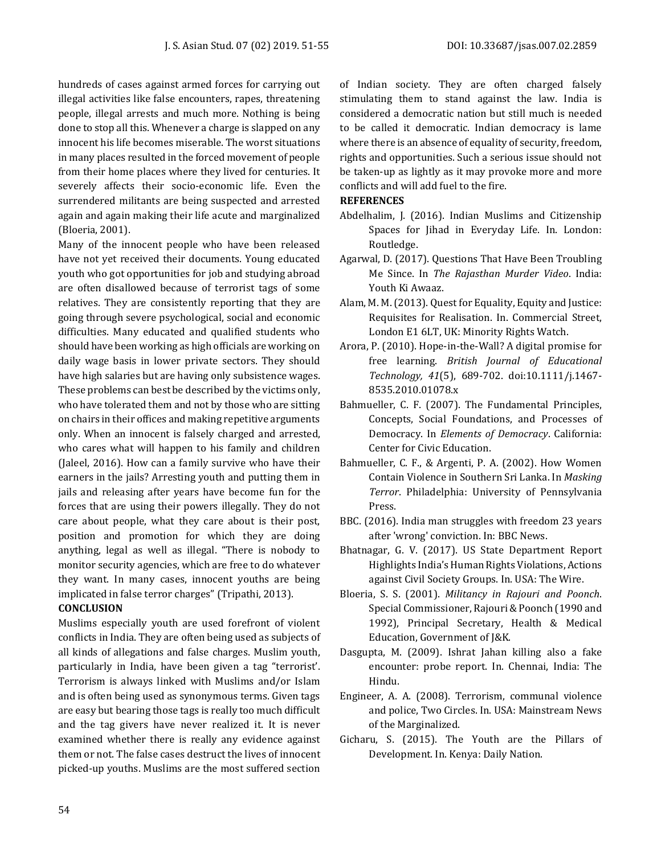hundreds of cases against armed forces for carrying out illegal activities like false encounters, rapes, threatening people, illegal arrests and much more. Nothing is being done to stop all this. Whenever a charge is slapped on any innocent his life becomes miserable. The worst situations in many places resulted in the forced movement of people from their home places where they lived for centuries. It severely affects their socio-economic life. Even the surrendered militants are being suspected and arrested again and again making their life acute and marginalized (Bloeria, 2001).

Many of the innocent people who have been released have not yet received their documents. Young educated youth who got opportunities for job and studying abroad are often disallowed because of terrorist tags of some relatives. They are consistently reporting that they are going through severe psychological, social and economic difficulties. Many educated and qualified students who should have been working as high officials are working on daily wage basis in lower private sectors. They should have high salaries but are having only subsistence wages. These problems can best be described by the victims only, who have tolerated them and not by those who are sitting on chairs in their offices and making repetitive arguments only. When an innocent is falsely charged and arrested, who cares what will happen to his family and children (Jaleel, 2016). How can a family survive who have their earners in the jails? Arresting youth and putting them in jails and releasing after years have become fun for the forces that are using their powers illegally. They do not care about people, what they care about is their post, position and promotion for which they are doing anything, legal as well as illegal. "There is nobody to monitor security agencies, which are free to do whatever they want. In many cases, innocent youths are being implicated in false terror charges" (Tripathi, 2013).

### **CONCLUSION**

Muslims especially youth are used forefront of violent conflicts in India. They are often being used as subjects of all kinds of allegations and false charges. Muslim youth, particularly in India, have been given a tag "terrorist'. Terrorism is always linked with Muslims and/or Islam and is often being used as synonymous terms. Given tags are easy but bearing those tags is really too much difficult and the tag givers have never realized it. It is never examined whether there is really any evidence against them or not. The false cases destruct the lives of innocent picked-up youths. Muslims are the most suffered section

of Indian society. They are often charged falsely stimulating them to stand against the law. India is considered a democratic nation but still much is needed to be called it democratic. Indian democracy is lame where there is an absence of equality of security, freedom, rights and opportunities. Such a serious issue should not be taken-up as lightly as it may provoke more and more conflicts and will add fuel to the fire.

#### **REFERENCES**

- Abdelhalim, J. (2016). Indian Muslims and Citizenship Spaces for Jihad in Everyday Life. In. London: Routledge.
- Agarwal, D. (2017). Questions That Have Been Troubling Me Since. In *The Rajasthan Murder Video*. India: Youth Ki Awaaz.
- Alam, M. M. (2013). Quest for Equality, Equity and Justice: Requisites for Realisation. In. Commercial Street, London E1 6LT, UK: Minority Rights Watch.
- Arora, P. (2010). Hope-in-the-Wall? A digital promise for free learning. *British Journal of Educational Technology, 41*(5), 689-702. doi:10.1111/j.1467- 8535.2010.01078.x
- Bahmueller, C. F. (2007). The Fundamental Principles, Concepts, Social Foundations, and Processes of Democracy. In *Elements of Democracy*. California: Center for Civic Education.
- Bahmueller, C. F., & Argenti, P. A. (2002). How Women Contain Violence in Southern Sri Lanka. In *Masking Terror*. Philadelphia: University of Pennsylvania Press.
- BBC. (2016). India man struggles with freedom 23 years after 'wrong' conviction. In: BBC News.
- Bhatnagar, G. V. (2017). US State Department Report Highlights India's Human Rights Violations, Actions against Civil Society Groups. In. USA: The Wire.
- Bloeria, S. S. (2001). *Militancy in Rajouri and Poonch*. Special Commissioner, Rajouri & Poonch (1990 and 1992), Principal Secretary, Health & Medical Education, Government of J&K.
- Dasgupta, M. (2009). Ishrat Jahan killing also a fake encounter: probe report. In. Chennai, India: The Hindu.
- Engineer, A. A. (2008). Terrorism, communal violence and police, Two Circles. In. USA: Mainstream News of the Marginalized.
- Gicharu, S. (2015). The Youth are the Pillars of Development. In. Kenya: Daily Nation.